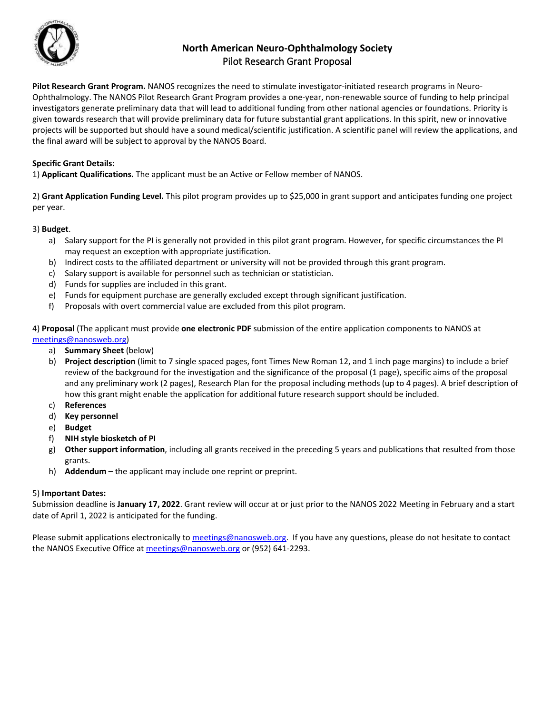

# **North American Neuro-Ophthalmology Society**  Pilot Research Grant Proposal

**Pilot Research Grant Program.** NANOS recognizes the need to stimulate investigator-initiated research programs in Neuro-Ophthalmology. The NANOS Pilot Research Grant Program provides a one-year, non-renewable source of funding to help principal investigators generate preliminary data that will lead to additional funding from other national agencies or foundations. Priority is given towards research that will provide preliminary data for future substantial grant applications. In this spirit, new or innovative projects will be supported but should have a sound medical/scientific justification. A scientific panel will review the applications, and the final award will be subject to approval by the NANOS Board.

### **Specific Grant Details:**

1) **Applicant Qualifications.** The applicant must be an Active or Fellow member of NANOS.

2) **Grant Application Funding Level.** This pilot program provides up to \$25,000 in grant support and anticipates funding one project per year.

#### 3) **Budget**.

- a) Salary support for the PI is generally not provided in this pilot grant program. However, for specific circumstances the PI may request an exception with appropriate justification.
- b) Indirect costs to the affiliated department or university will not be provided through this grant program.
- c) Salary support is available for personnel such as technician or statistician.
- d) Funds for supplies are included in this grant.
- e) Funds for equipment purchase are generally excluded except through significant justification.
- f) Proposals with overt commercial value are excluded from this pilot program.

4) **Proposal** (The applicant must provide **one electronic PDF** submission of the entire application components to NANOS at [meetings@nanosweb.org\)](mailto:meetings@nanosweb.org)

- a) **Summary Sheet** (below)
- b) **Project description** (limit to 7 single spaced pages, font Times New Roman 12, and 1 inch page margins) to include a brief review of the background for the investigation and the significance of the proposal (1 page), specific aims of the proposal and any preliminary work (2 pages), Research Plan for the proposal including methods (up to 4 pages). A brief description of how this grant might enable the application for additional future research support should be included.
- c) **References**
- d) **Key personnel**
- e) **Budget**
- f) **NIH style biosketch of PI**
- g) **Other support information**, including all grants received in the preceding 5 years and publications that resulted from those grants.
- h) **Addendum**  the applicant may include one reprint or preprint.

#### 5) **Important Dates:**

Submission deadline is **January 17, 2022**. Grant review will occur at or just prior to the NANOS 2022 Meeting in February and a start date of April 1, 2022 is anticipated for the funding.

Please submit applications electronically t[o meetings@nanosweb.org.](mailto:meetings@nanosweb.org) If you have any questions, please do not hesitate to contact the NANOS Executive Office at [meetings@nanosweb.org](mailto:meetings@nanosweb.org) or (952) 641-2293.